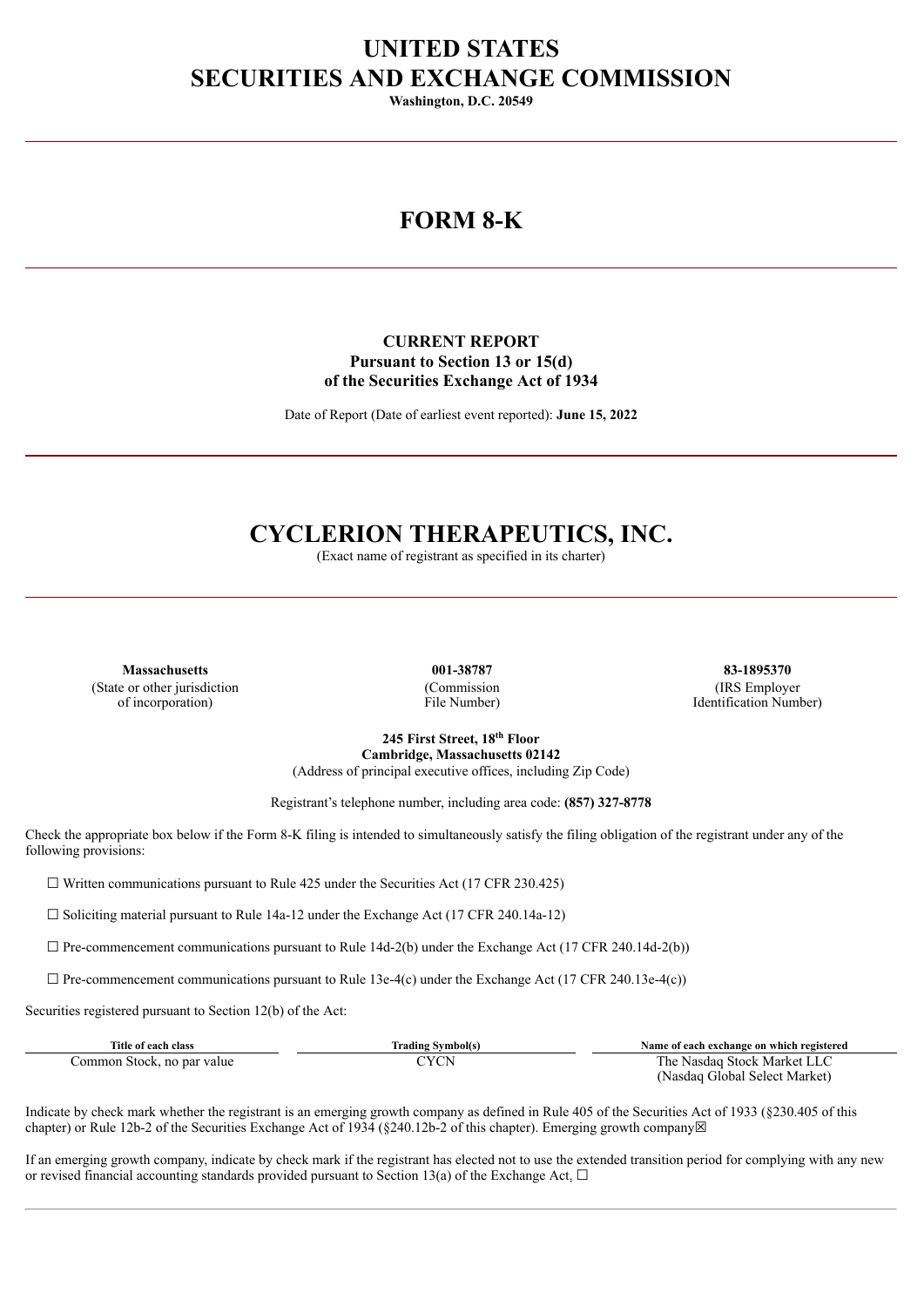## **UNITED STATES SECURITIES AND EXCHANGE COMMISSION**

**Washington, D.C. 20549**

# **FORM 8-K**

### **CURRENT REPORT Pursuant to Section 13 or 15(d) of the Securities Exchange Act of 1934**

Date of Report (Date of earliest event reported): **June 15, 2022**

# **CYCLERION THERAPEUTICS, INC.**

(Exact name of registrant as specified in its charter)

**Massachusetts 001-38787 83-1895370** (State or other jurisdiction of incorporation)

(Commission File Number)

(IRS Employer Identification Number)

**245 First Street, 18 th Floor Cambridge, Massachusetts 02142** (Address of principal executive offices, including Zip Code)

Registrant's telephone number, including area code: **(857) 327-8778**

Check the appropriate box below if the Form 8-K filing is intended to simultaneously satisfy the filing obligation of the registrant under any of the following provisions:

 $\Box$  Written communications pursuant to Rule 425 under the Securities Act (17 CFR 230.425)

 $\Box$  Soliciting material pursuant to Rule 14a-12 under the Exchange Act (17 CFR 240.14a-12)

 $\Box$  Pre-commencement communications pursuant to Rule 14d-2(b) under the Exchange Act (17 CFR 240.14d-2(b))

 $\Box$  Pre-commencement communications pursuant to Rule 13e-4(c) under the Exchange Act (17 CFR 240.13e-4(c))

Securities registered pursuant to Section 12(b) of the Act:

| Title of each class        | Trading Svmbol(s) | Name of each exchange on which registered |
|----------------------------|-------------------|-------------------------------------------|
| Common Stock, no par value |                   | The Nasdag Stock Market LLC               |
|                            |                   | (Nasdaq Global Select Market)             |

Indicate by check mark whether the registrant is an emerging growth company as defined in Rule 405 of the Securities Act of 1933 (§230.405 of this chapter) or Rule 12b-2 of the Securities Exchange Act of 1934 (§240.12b-2 of this chapter). Emerging growth company⊠

If an emerging growth company, indicate by check mark if the registrant has elected not to use the extended transition period for complying with any new or revised financial accounting standards provided pursuant to Section 13(a) of the Exchange Act.  $\Box$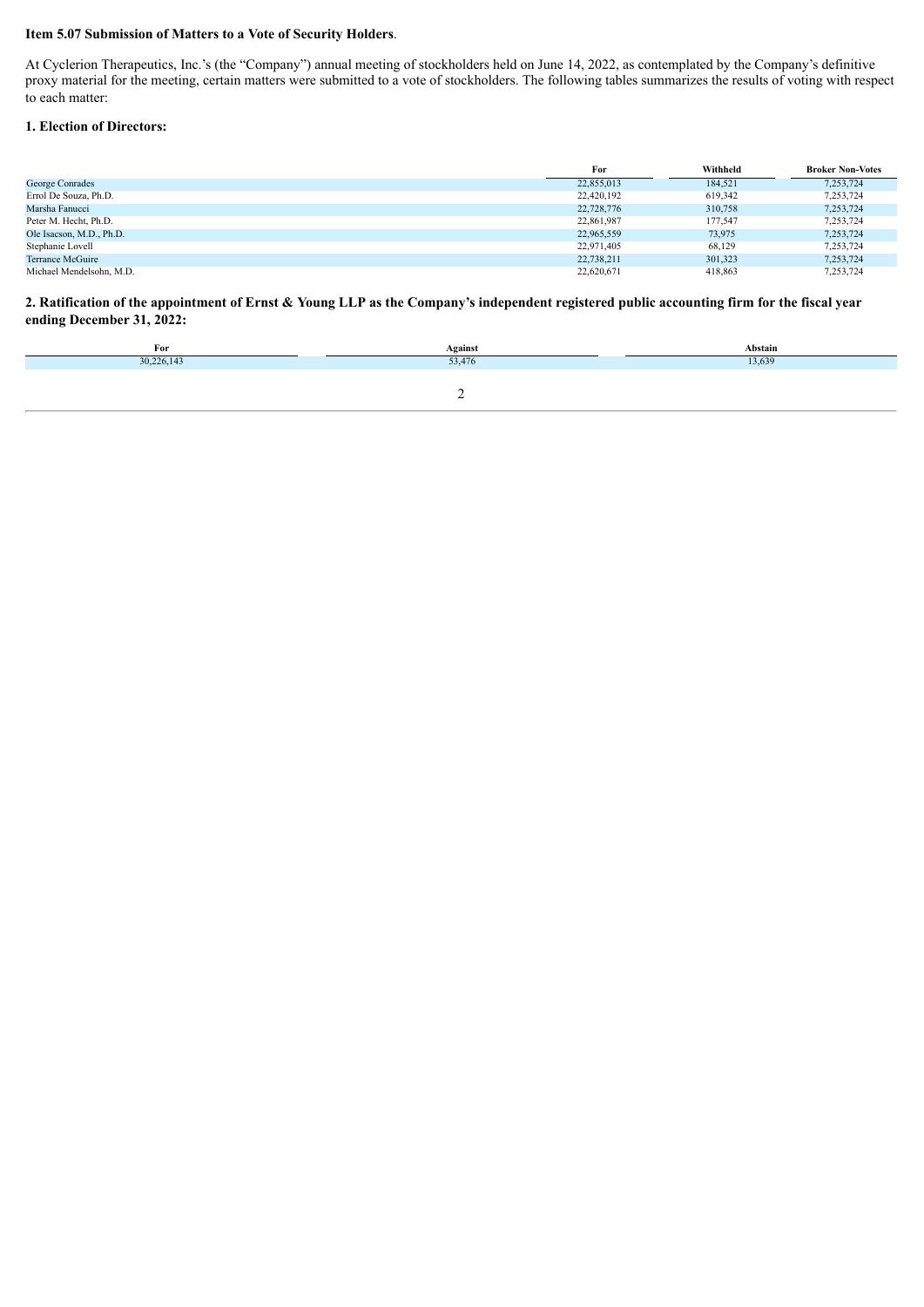#### **Item 5.07 Submission of Matters to a Vote of Security Holders**.

At Cyclerion Therapeutics, Inc.'s (the "Company") annual meeting of stockholders held on June 14, 2022, as contemplated by the Company's definitive proxy material for the meeting, certain matters were submitted to a vote of stockholders. The following tables summarizes the results of voting with respect proxy material for the meeting, certain matters were submitted to to each matter:

#### **1. Election of Directors:**

|                          | For        | Withheld | <b>Broker Non-Votes</b> |
|--------------------------|------------|----------|-------------------------|
| George Conrades          | 22,855,013 | 184,521  | 7,253,724               |
| Errol De Souza, Ph.D.    | 22,420,192 | 619,342  | 7,253,724               |
| Marsha Fanucci           | 22,728,776 | 310.758  | 7,253,724               |
| Peter M. Hecht, Ph.D.    | 22,861,987 | 177,547  | 7,253,724               |
| Ole Isacson, M.D., Ph.D. | 22,965,559 | 73,975   | 7,253,724               |
| Stephanie Lovell         | 22,971,405 | 68,129   | 7,253,724               |
| Terrance McGuire         | 22,738,211 | 301.323  | 7,253,724               |
| Michael Mendelsohn, M.D. | 22,620,671 | 418,863  | 7,253,724               |

2. Ratification of the appointment of Ernst & Young LLP as the Company's independent registered public accounting firm for the fiscal year **ending December 31, 2022:**

| For        | Against        | Abstain |
|------------|----------------|---------|
| 30,226,143 | 22.47<br>2.4/0 | 13,639  |
|            |                |         |
|            | -              |         |